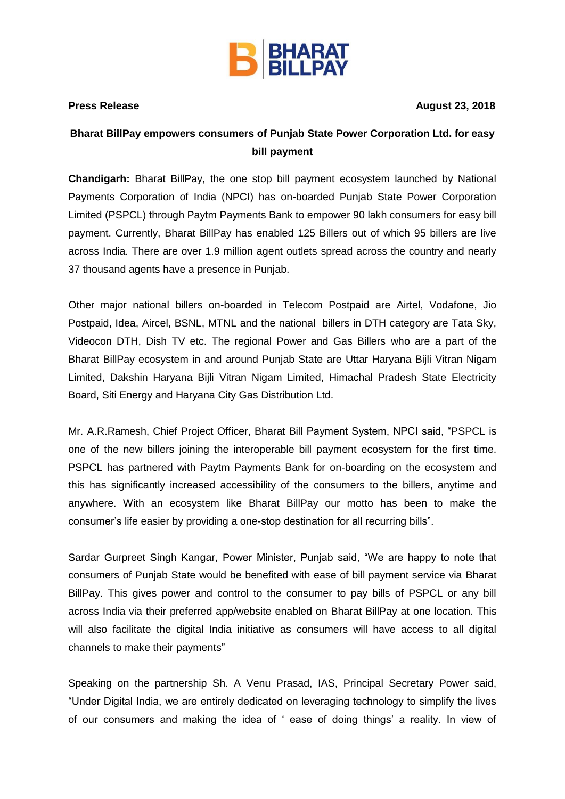

**Press Release August** 23, 2018

## **Bharat BillPay empowers consumers of Punjab State Power Corporation Ltd. for easy bill payment**

**Chandigarh:** Bharat BillPay, the one stop bill payment ecosystem launched by National Payments Corporation of India (NPCI) has on-boarded Punjab State Power Corporation Limited (PSPCL) through Paytm Payments Bank to empower 90 lakh consumers for easy bill payment. Currently, Bharat BillPay has enabled 125 Billers out of which 95 billers are live across India. There are over 1.9 million agent outlets spread across the country and nearly 37 thousand agents have a presence in Punjab.

Other major national billers on-boarded in Telecom Postpaid are Airtel, Vodafone, Jio Postpaid, Idea, Aircel, BSNL, MTNL and the national billers in DTH category are Tata Sky, Videocon DTH, Dish TV etc. The regional Power and Gas Billers who are a part of the Bharat BillPay ecosystem in and around Punjab State are Uttar Haryana Bijli Vitran Nigam Limited, Dakshin Haryana Bijli Vitran Nigam Limited, Himachal Pradesh State Electricity Board, Siti Energy and Haryana City Gas Distribution Ltd.

Mr. A.R.Ramesh, Chief Project Officer, Bharat Bill Payment System, NPCI said, "PSPCL is one of the new billers joining the interoperable bill payment ecosystem for the first time. PSPCL has partnered with Paytm Payments Bank for on-boarding on the ecosystem and this has significantly increased accessibility of the consumers to the billers, anytime and anywhere. With an ecosystem like Bharat BillPay our motto has been to make the consumer's life easier by providing a one-stop destination for all recurring bills".

Sardar Gurpreet Singh Kangar, Power Minister, Punjab said, "We are happy to note that consumers of Punjab State would be benefited with ease of bill payment service via Bharat BillPay. This gives power and control to the consumer to pay bills of PSPCL or any bill across India via their preferred app/website enabled on Bharat BillPay at one location. This will also facilitate the digital India initiative as consumers will have access to all digital channels to make their payments"

Speaking on the partnership Sh. A Venu Prasad, IAS, Principal Secretary Power said, "Under Digital India, we are entirely dedicated on leveraging technology to simplify the lives of our consumers and making the idea of ' ease of doing things' a reality. In view of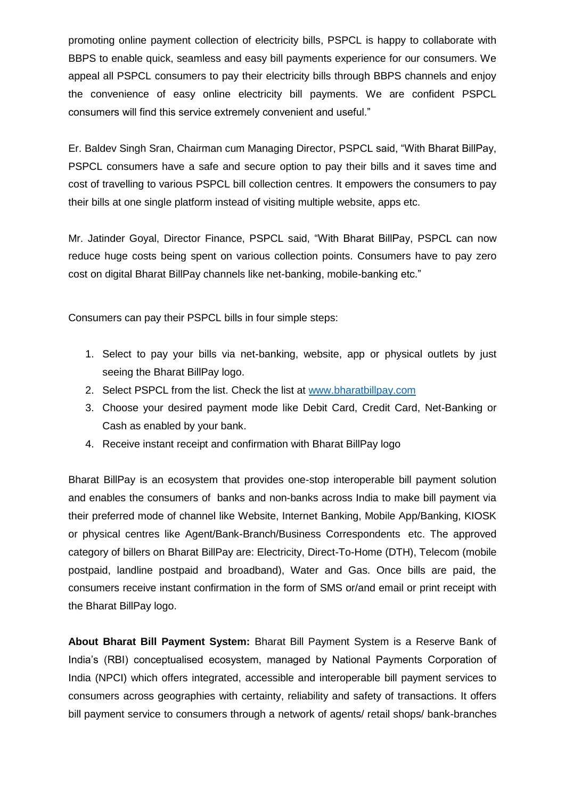promoting online payment collection of electricity bills, PSPCL is happy to collaborate with BBPS to enable quick, seamless and easy bill payments experience for our consumers. We appeal all PSPCL consumers to pay their electricity bills through BBPS channels and enjoy the convenience of easy online electricity bill payments. We are confident PSPCL consumers will find this service extremely convenient and useful."

Er. Baldev Singh Sran, Chairman cum Managing Director, PSPCL said, "With Bharat BillPay, PSPCL consumers have a safe and secure option to pay their bills and it saves time and cost of travelling to various PSPCL bill collection centres. It empowers the consumers to pay their bills at one single platform instead of visiting multiple website, apps etc.

Mr. Jatinder Goyal, Director Finance, PSPCL said, "With Bharat BillPay, PSPCL can now reduce huge costs being spent on various collection points. Consumers have to pay zero cost on digital Bharat BillPay channels like net-banking, mobile-banking etc."

Consumers can pay their PSPCL bills in four simple steps:

- 1. Select to pay your bills via net-banking, website, app or physical outlets by just seeing the Bharat BillPay logo.
- 2. Select PSPCL from the list. Check the list at [www.bharatbillpay.com](http://www.bharatbillpay.com/)
- 3. Choose your desired payment mode like Debit Card, Credit Card, Net-Banking or Cash as enabled by your bank.
- 4. Receive instant receipt and confirmation with Bharat BillPay logo

Bharat BillPay is an ecosystem that provides one-stop interoperable bill payment solution and enables the consumers of banks and non-banks across India to make bill payment via their preferred mode of channel like Website, Internet Banking, Mobile App/Banking, KIOSK or physical centres like Agent/Bank-Branch/Business Correspondents etc. The approved category of billers on Bharat BillPay are: Electricity, Direct-To-Home (DTH), Telecom (mobile postpaid, landline postpaid and broadband), Water and Gas. Once bills are paid, the consumers receive instant confirmation in the form of SMS or/and email or print receipt with the Bharat BillPay logo.

**About Bharat Bill Payment System:** Bharat Bill Payment System is a Reserve Bank of India's (RBI) conceptualised ecosystem, managed by National Payments Corporation of India (NPCI) which offers integrated, accessible and interoperable bill payment services to consumers across geographies with certainty, reliability and safety of transactions. It offers bill payment service to consumers through a network of agents/ retail shops/ bank-branches